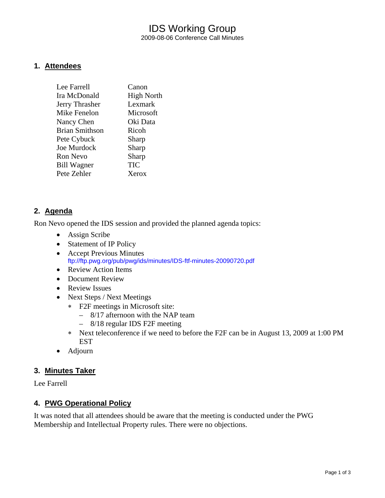# IDS Working Group 2009-08-06 Conference Call Minutes

### **1. Attendees**

| Lee Farrell           | Canon             |
|-----------------------|-------------------|
| Ira McDonald          | <b>High North</b> |
| Jerry Thrasher        | Lexmark           |
| Mike Fenelon          | Microsoft         |
| Nancy Chen            | Oki Data          |
| <b>Brian Smithson</b> | Ricoh             |
| Pete Cybuck           | Sharp             |
| Joe Murdock           | Sharp             |
| <b>Ron Nevo</b>       | Sharp             |
| <b>Bill Wagner</b>    | TIC               |
| Pete Zehler           | Xerox             |

## **2. Agenda**

Ron Nevo opened the IDS session and provided the planned agenda topics:

- Assign Scribe
- Statement of IP Policy
- Accept Previous Minutes <ftp://ftp.pwg.org/pub/pwg/ids/minutes/IDS-ftf-minutes-20090720.pdf>
- Review Action Items
- Document Review
- Review Issues
- Next Steps / Next Meetings
	- ∗ F2F meetings in Microsoft site:
		- 8/17 afternoon with the NAP team
		- 8/18 regular IDS F2F meeting
	- ∗ Next teleconference if we need to before the F2F can be in August 13, 2009 at 1:00 PM EST
- Adjourn

#### **3. Minutes Taker**

Lee Farrell

### **4. PWG Operational Policy**

It was noted that all attendees should be aware that the meeting is conducted under the PWG Membership and Intellectual Property rules. There were no objections.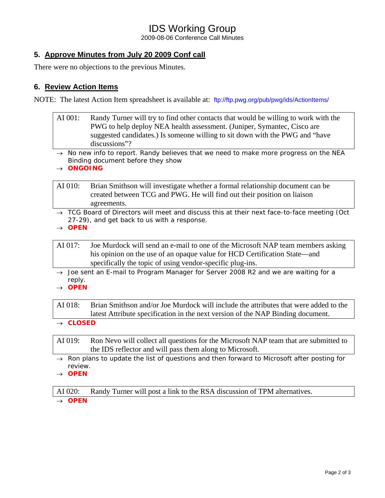# IDS Working Group

2009-08-06 Conference Call Minutes

## **5. Approve Minutes from July 20 2009 Conf call**

There were no objections to the previous Minutes.

## **6. Review Action Items**

NOTE: The latest Action Item spreadsheet is available at: <ftp://ftp.pwg.org/pub/pwg/ids/ActionItems/>

- AI 001: Randy Turner will try to find other contacts that would be willing to work with the PWG to help deploy NEA health assessment. (Juniper, Symantec, Cisco are suggested candidates.) Is someone willing to sit down with the PWG and "have discussions"?
- → *No new info to report. Randy believes that we need to make more progress on the NEA Binding document before they show*
- → *ONGOING*
- AI 010: Brian Smithson will investigate whether a formal relationship document can be created between TCG and PWG. He will find out their position on liaison agreements.
- → *TCG Board of Directors will meet and discuss this at their next face-to-face meeting (Oct 27-29), and get back to us with a response.*
- → *OPEN*

AI 017: Joe Murdock will send an e-mail to one of the Microsoft NAP team members asking his opinion on the use of an opaque value for HCD Certification State—and specifically the topic of using vendor-specific plug-ins.

- → *Joe sent an E-mail to Program Manager for Server 2008 R2 and we are waiting for a reply.*
- → *OPEN*

AI 018: Brian Smithson and/or Joe Murdock will include the attributes that were added to the latest Attribute specification in the next version of the NAP Binding document.

→ *CLOSED* 

- AI 019: Ron Nevo will collect all questions for the Microsoft NAP team that are submitted to the IDS reflector and will pass them along to Microsoft.
- → *Ron plans to update the list of questions and then forward to Microsoft after posting for review.*
- → *OPEN*

AI 020: Randy Turner will post a link to the RSA discussion of TPM alternatives.

→ *OPEN*